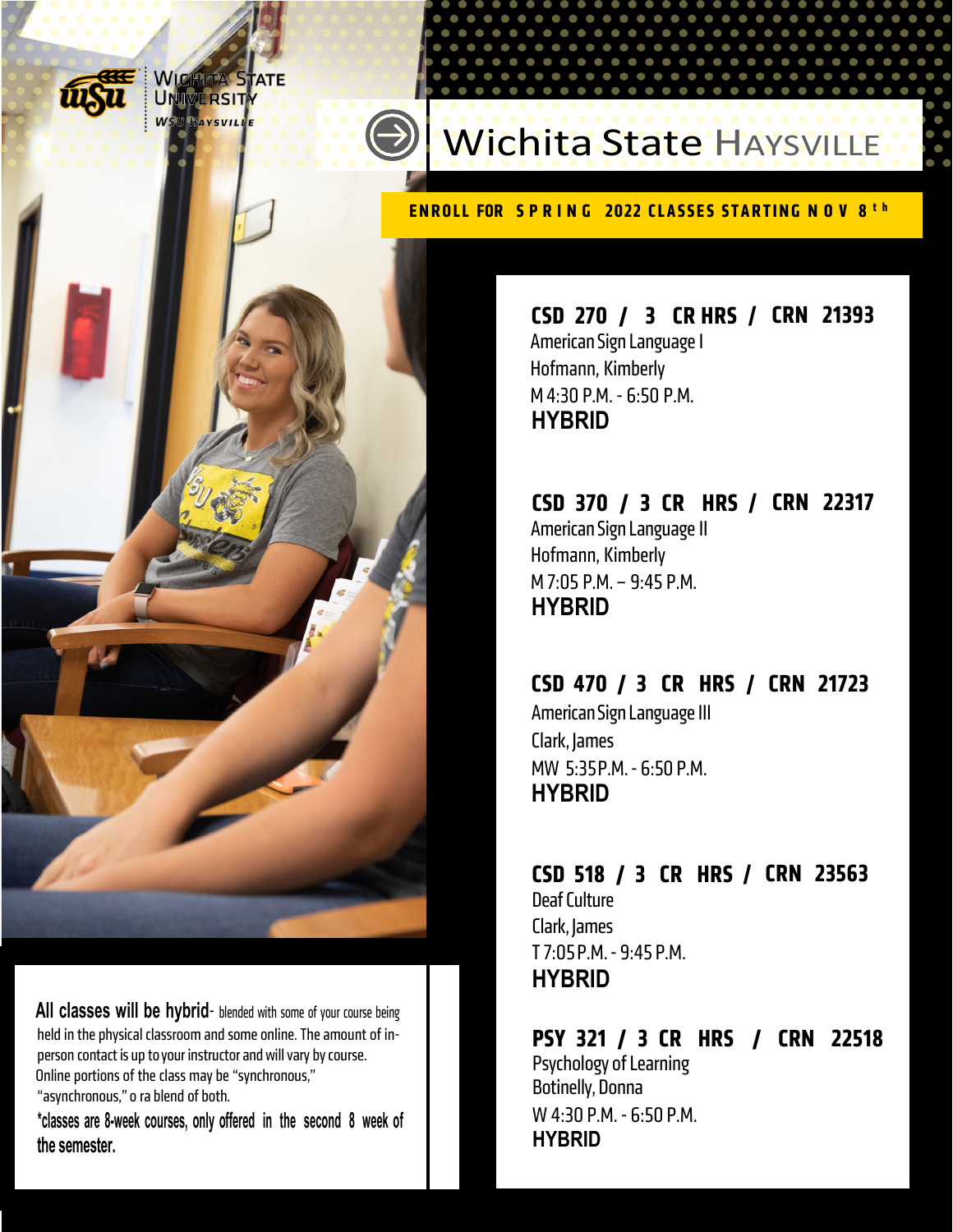

**NICHITA'S JERSIT** 

### Wichita State HAYSVILLE

#### **ENROLL FOR SPRING 2022 CLASSES STARTING NOV 8th**

#### **CSD 270 / 3 CR HRS / CRN 21393**  American Sign Language I Hofmann, Kimberly M 4:30 P.M. - 6:50 P.M.

**HYBRID** 

#### **CSD 370 / 3 CR HRS / CRN 22317**  American Sign Language II Hofmann, Kimberly M 7:05 P.M. – 9:45 P.M. **HYBRID**

#### **CSD 470 / 3 CR HRS / CRN 21723**

American Sign Language III Clark, James MW 5:35P.M. - 6:50 P.M. **HYBRID** 

#### **CSD 518 / 3 CR HRS / CRN 23563**

Deaf Culture Clark, James T 7:05 P.M. - 9:45 P.M. **HYBRID** 

#### **PSY 321 / 3 CR HRS / CRN 22518**  Psychology of Learning Botinelly, Donna W 4:30 P.M. - 6:50 P.M. **HYBRID**

 All classes will be hybrid- blended with some of your course being held in the physical classroom and some online. The amount of inperson contact is up to your instructor and will vary by course. Online portions of the class may be "synchronous," "asynchronous," o ra blend of both.

 **\*classes are 8-week courses, only offered in the second 8 week of the semester.**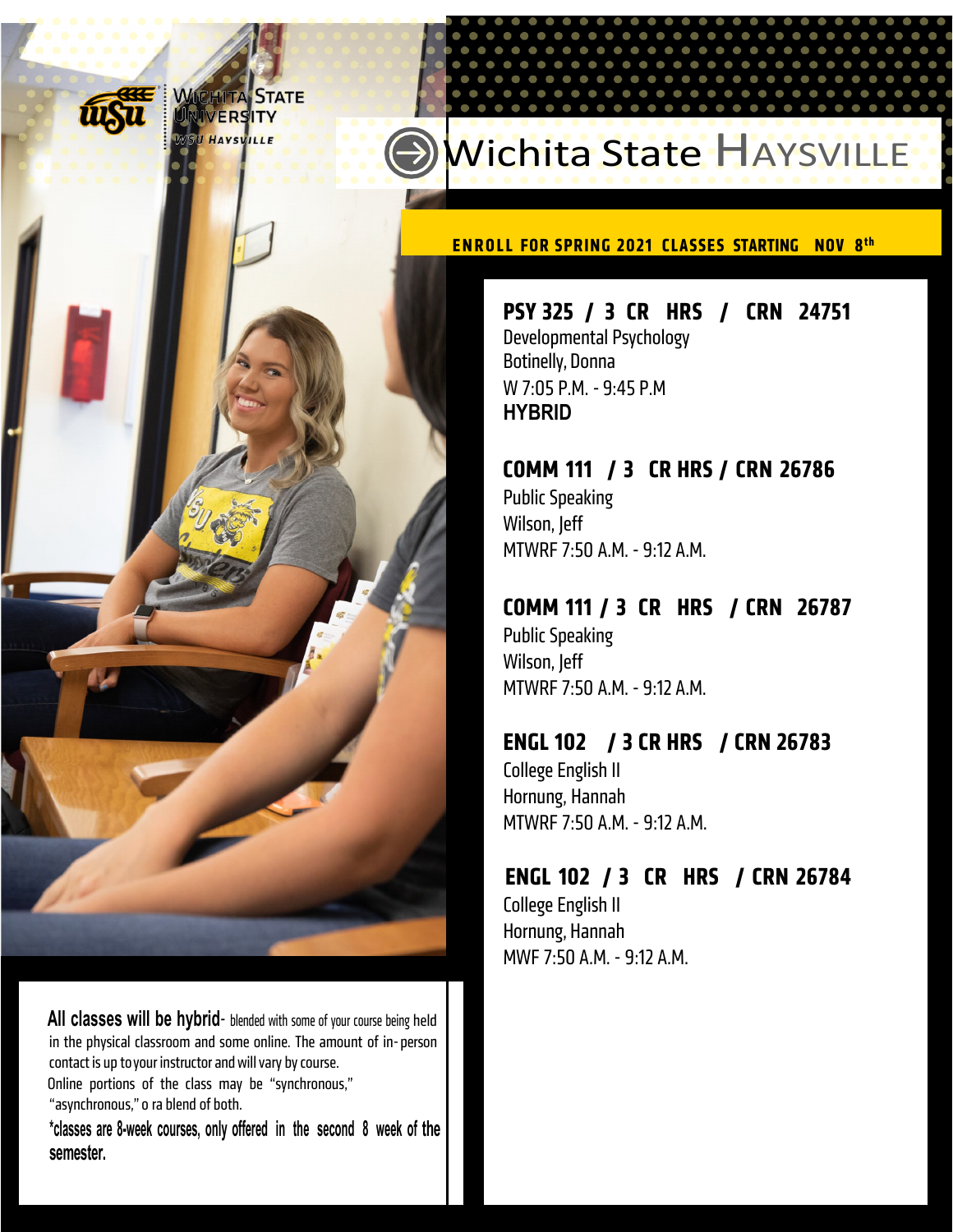ERS **ITY** 

## Wichita State HAYSVILLE

**ENROLL FOR SPRING 2021 CLASSES STARTING NOV 8th** 

**PSY 325 / 3 CR HRS / CRN 24751**  Developmental Psychology Botinelly, Donna W 7:05 P.M. - 9:45 P.M **HYBRID** 

#### **COMM 111 / 3 CR HRS / CRN 26786**

Public Speaking Wilson, Jeff MTWRF 7:50 A.M. - 9:12 A.M.

#### **COMM 111 / 3 CR HRS / CRN 26787**

Public Speaking Wilson, Jeff MTWRF 7:50 A.M. - 9:12 A.M.

#### **ENGL 102 / 3 CR HRS / CRN 26783**

College English II Hornung, Hannah MTWRF 7:50 A.M. - 9:12 A.M.

#### **ENGL 102 / 3 CR HRS / CRN 26784**

College English II Hornung, Hannah MWF 7:50 A.M. - 9:12 A.M.

 $\ddot{\phantom{a}}$ All classes will be hybrid- blended with some of your course being held in the physical classroom and some online. The amount of in-person contact is up to your instructor and will vary by course.

 Online portions of the class may be "synchronous," "asynchronous," o ra blend of both.

 **\*classes are 8-week courses, only offered in the second 8 week of the semester.**